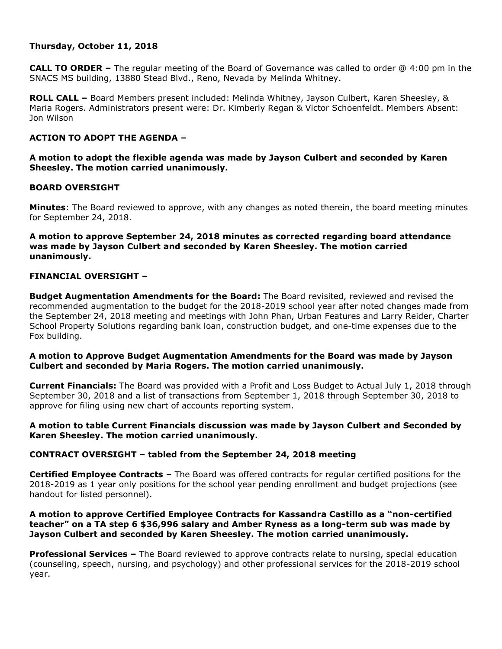# **Thursday, October 11, 2018**

**CALL TO ORDER –** The regular meeting of the Board of Governance was called to order @ 4:00 pm in the SNACS MS building, 13880 Stead Blvd., Reno, Nevada by Melinda Whitney.

**ROLL CALL –** Board Members present included: Melinda Whitney, Jayson Culbert, Karen Sheesley, & Maria Rogers. Administrators present were: Dr. Kimberly Regan & Victor Schoenfeldt. Members Absent: Jon Wilson

# **ACTION TO ADOPT THE AGENDA –**

**A motion to adopt the flexible agenda was made by Jayson Culbert and seconded by Karen Sheesley. The motion carried unanimously.** 

# **BOARD OVERSIGHT**

**Minutes**: The Board reviewed to approve, with any changes as noted therein, the board meeting minutes for September 24, 2018.

**A motion to approve September 24, 2018 minutes as corrected regarding board attendance was made by Jayson Culbert and seconded by Karen Sheesley. The motion carried unanimously.**

### **FINANCIAL OVERSIGHT –**

**Budget Augmentation Amendments for the Board:** The Board revisited, reviewed and revised the recommended augmentation to the budget for the 2018-2019 school year after noted changes made from the September 24, 2018 meeting and meetings with John Phan, Urban Features and Larry Reider, Charter School Property Solutions regarding bank loan, construction budget, and one-time expenses due to the Fox building.

### **A motion to Approve Budget Augmentation Amendments for the Board was made by Jayson Culbert and seconded by Maria Rogers. The motion carried unanimously.**

**Current Financials:** The Board was provided with a Profit and Loss Budget to Actual July 1, 2018 through September 30, 2018 and a list of transactions from September 1, 2018 through September 30, 2018 to approve for filing using new chart of accounts reporting system.

# **A motion to table Current Financials discussion was made by Jayson Culbert and Seconded by Karen Sheesley. The motion carried unanimously.**

# **CONTRACT OVERSIGHT – tabled from the September 24, 2018 meeting**

**Certified Employee Contracts –** The Board was offered contracts for regular certified positions for the 2018-2019 as 1 year only positions for the school year pending enrollment and budget projections (see handout for listed personnel).

### **A motion to approve Certified Employee Contracts for Kassandra Castillo as a "non-certified teacher" on a TA step 6 \$36,996 salary and Amber Ryness as a long-term sub was made by Jayson Culbert and seconded by Karen Sheesley. The motion carried unanimously.**

**Professional Services –** The Board reviewed to approve contracts relate to nursing, special education (counseling, speech, nursing, and psychology) and other professional services for the 2018-2019 school year.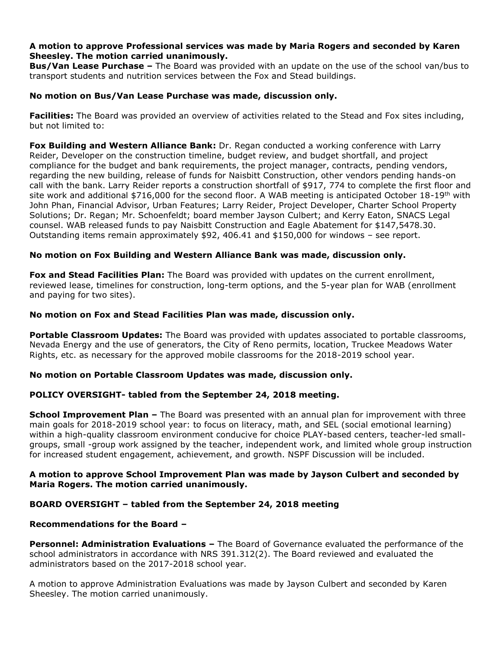# **A motion to approve Professional services was made by Maria Rogers and seconded by Karen Sheesley. The motion carried unanimously.**

**Bus/Van Lease Purchase –** The Board was provided with an update on the use of the school van/bus to transport students and nutrition services between the Fox and Stead buildings.

# **No motion on Bus/Van Lease Purchase was made, discussion only.**

**Facilities:** The Board was provided an overview of activities related to the Stead and Fox sites including, but not limited to:

**Fox Building and Western Alliance Bank:** Dr. Regan conducted a working conference with Larry Reider, Developer on the construction timeline, budget review, and budget shortfall, and project compliance for the budget and bank requirements, the project manager, contracts, pending vendors, regarding the new building, release of funds for Naisbitt Construction, other vendors pending hands-on call with the bank. Larry Reider reports a construction shortfall of \$917, 774 to complete the first floor and site work and additional  $$716,000$  for the second floor. A WAB meeting is anticipated October 18-19<sup>th</sup> with John Phan, Financial Advisor, Urban Features; Larry Reider, Project Developer, Charter School Property Solutions; Dr. Regan; Mr. Schoenfeldt; board member Jayson Culbert; and Kerry Eaton, SNACS Legal counsel. WAB released funds to pay Naisbitt Construction and Eagle Abatement for \$147,5478.30. Outstanding items remain approximately \$92, 406.41 and \$150,000 for windows – see report.

# **No motion on Fox Building and Western Alliance Bank was made, discussion only.**

**Fox and Stead Facilities Plan:** The Board was provided with updates on the current enrollment, reviewed lease, timelines for construction, long-term options, and the 5-year plan for WAB (enrollment and paying for two sites).

### **No motion on Fox and Stead Facilities Plan was made, discussion only.**

**Portable Classroom Updates:** The Board was provided with updates associated to portable classrooms, Nevada Energy and the use of generators, the City of Reno permits, location, Truckee Meadows Water Rights, etc. as necessary for the approved mobile classrooms for the 2018-2019 school year.

#### **No motion on Portable Classroom Updates was made, discussion only.**

# **POLICY OVERSIGHT- tabled from the September 24, 2018 meeting.**

**School Improvement Plan –** The Board was presented with an annual plan for improvement with three main goals for 2018-2019 school year: to focus on literacy, math, and SEL (social emotional learning) within a high-quality classroom environment conducive for choice PLAY-based centers, teacher-led smallgroups, small -group work assigned by the teacher, independent work, and limited whole group instruction for increased student engagement, achievement, and growth. NSPF Discussion will be included.

### **A motion to approve School Improvement Plan was made by Jayson Culbert and seconded by Maria Rogers. The motion carried unanimously.**

# **BOARD OVERSIGHT – tabled from the September 24, 2018 meeting**

#### **Recommendations for the Board –**

**Personnel: Administration Evaluations –** The Board of Governance evaluated the performance of the school administrators in accordance with NRS 391.312(2). The Board reviewed and evaluated the administrators based on the 2017-2018 school year.

A motion to approve Administration Evaluations was made by Jayson Culbert and seconded by Karen Sheesley. The motion carried unanimously.